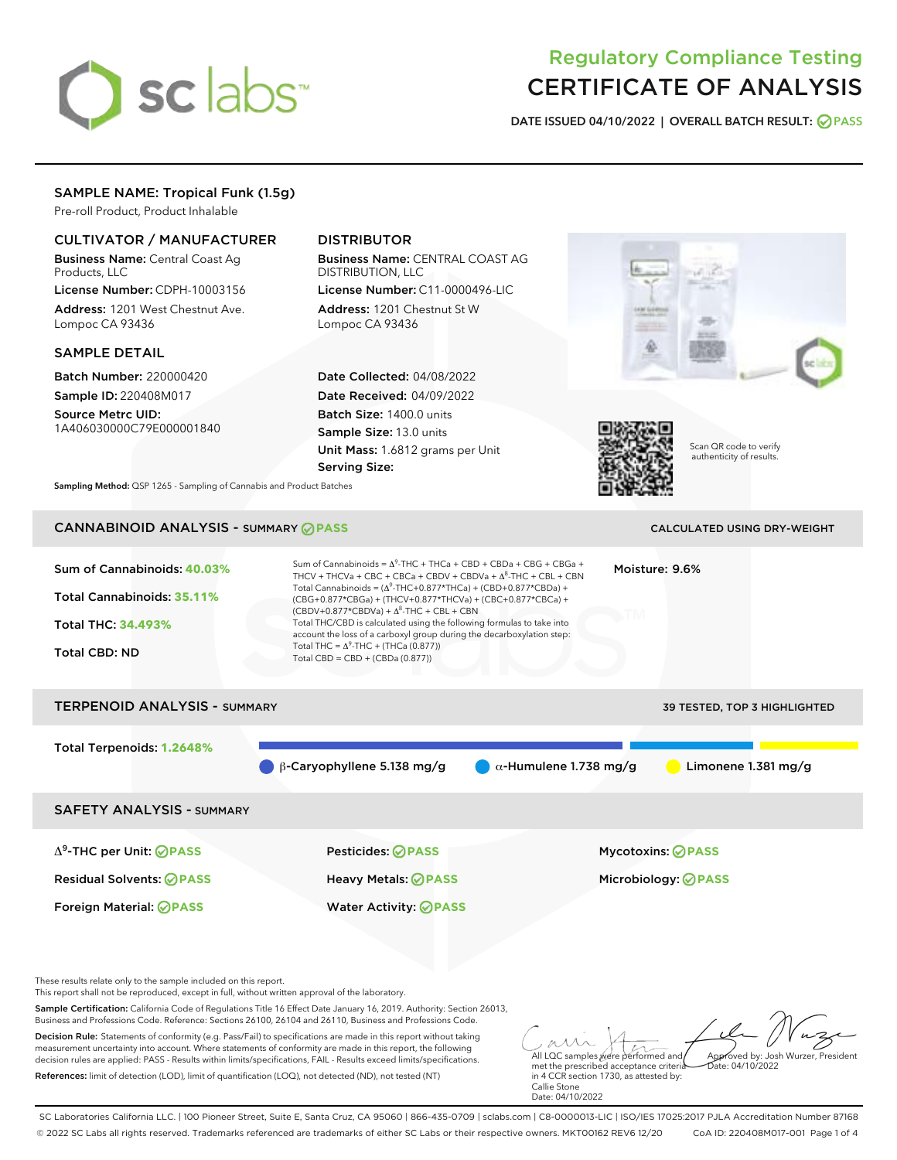# sclabs<sup>\*</sup>

# Regulatory Compliance Testing CERTIFICATE OF ANALYSIS

DATE ISSUED 04/10/2022 | OVERALL BATCH RESULT: @ PASS

# SAMPLE NAME: Tropical Funk (1.5g)

Pre-roll Product, Product Inhalable

# CULTIVATOR / MANUFACTURER

Business Name: Central Coast Ag Products, LLC

License Number: CDPH-10003156 Address: 1201 West Chestnut Ave. Lompoc CA 93436

## SAMPLE DETAIL

Batch Number: 220000420 Sample ID: 220408M017

Source Metrc UID: 1A406030000C79E000001840

# DISTRIBUTOR

Business Name: CENTRAL COAST AG DISTRIBUTION, LLC License Number: C11-0000496-LIC

Address: 1201 Chestnut St W Lompoc CA 93436

Date Collected: 04/08/2022 Date Received: 04/09/2022 Batch Size: 1400.0 units Sample Size: 13.0 units Unit Mass: 1.6812 grams per Unit Serving Size:





Scan QR code to verify authenticity of results.

Sampling Method: QSP 1265 - Sampling of Cannabis and Product Batches

# CANNABINOID ANALYSIS - SUMMARY **PASS** CALCULATED USING DRY-WEIGHT

| Sum of Cannabinoids: 40.03%<br>Total Cannabinoids: 35.11%<br>Total THC: 34.493%<br><b>Total CBD: ND</b> | Sum of Cannabinoids = $\Delta^9$ -THC + THCa + CBD + CBDa + CBG + CBGa +<br>THCV + THCVa + CBC + CBCa + CBDV + CBDVa + $\Delta^8$ -THC + CBL + CBN<br>Total Cannabinoids = $(\Delta^9$ -THC+0.877*THCa) + (CBD+0.877*CBDa) +<br>(CBG+0.877*CBGa) + (THCV+0.877*THCVa) + (CBC+0.877*CBCa) +<br>$(CBDV+0.877*CBDVa) + \Delta^8$ -THC + CBL + CBN<br>Total THC/CBD is calculated using the following formulas to take into<br>account the loss of a carboxyl group during the decarboxylation step:<br>Total THC = $\Delta^9$ -THC + (THCa (0.877))<br>Total CBD = $CBD + (CBDa (0.877))$ | Moisture: 9.6%                      |
|---------------------------------------------------------------------------------------------------------|----------------------------------------------------------------------------------------------------------------------------------------------------------------------------------------------------------------------------------------------------------------------------------------------------------------------------------------------------------------------------------------------------------------------------------------------------------------------------------------------------------------------------------------------------------------------------------------|-------------------------------------|
| <b>TERPENOID ANALYSIS - SUMMARY</b>                                                                     |                                                                                                                                                                                                                                                                                                                                                                                                                                                                                                                                                                                        | <b>39 TESTED, TOP 3 HIGHLIGHTED</b> |
| Total Terpenoids: 1.2648%                                                                               | $\alpha$ -Humulene 1.738 mg/g<br>$\beta$ -Caryophyllene 5.138 mg/g                                                                                                                                                                                                                                                                                                                                                                                                                                                                                                                     | Limonene $1.381$ mg/g               |
| <b>SAFETY ANALYSIS - SUMMARY</b>                                                                        |                                                                                                                                                                                                                                                                                                                                                                                                                                                                                                                                                                                        |                                     |
| $\Delta^9$ -THC per Unit: <b>OPASS</b>                                                                  | Pesticides: ⊘PASS                                                                                                                                                                                                                                                                                                                                                                                                                                                                                                                                                                      | <b>Mycotoxins: ⊘PASS</b>            |
| <b>Residual Solvents: ⊘PASS</b>                                                                         | Heavy Metals: <b>OPASS</b>                                                                                                                                                                                                                                                                                                                                                                                                                                                                                                                                                             | Microbiology: <b>⊘PASS</b>          |
| Foreign Material: <b>⊘ PASS</b>                                                                         | <b>Water Activity: ⊘PASS</b>                                                                                                                                                                                                                                                                                                                                                                                                                                                                                                                                                           |                                     |

These results relate only to the sample included on this report.

This report shall not be reproduced, except in full, without written approval of the laboratory.

Sample Certification: California Code of Regulations Title 16 Effect Date January 16, 2019. Authority: Section 26013, Business and Professions Code. Reference: Sections 26100, 26104 and 26110, Business and Professions Code.

Decision Rule: Statements of conformity (e.g. Pass/Fail) to specifications are made in this report without taking measurement uncertainty into account. Where statements of conformity are made in this report, the following decision rules are applied: PASS - Results within limits/specifications, FAIL - Results exceed limits/specifications. References: limit of detection (LOD), limit of quantification (LOQ), not detected (ND), not tested (NT)

All LQC samples were performed and Approved by: Josh Wurzer, President  $hat(0.4/10/2022)$ 

met the prescribed acceptance criteria in 4 CCR section 1730, as attested by: Callie Stone Date: 04/10/2022

SC Laboratories California LLC. | 100 Pioneer Street, Suite E, Santa Cruz, CA 95060 | 866-435-0709 | sclabs.com | C8-0000013-LIC | ISO/IES 17025:2017 PJLA Accreditation Number 87168 © 2022 SC Labs all rights reserved. Trademarks referenced are trademarks of either SC Labs or their respective owners. MKT00162 REV6 12/20 CoA ID: 220408M017-001 Page 1 of 4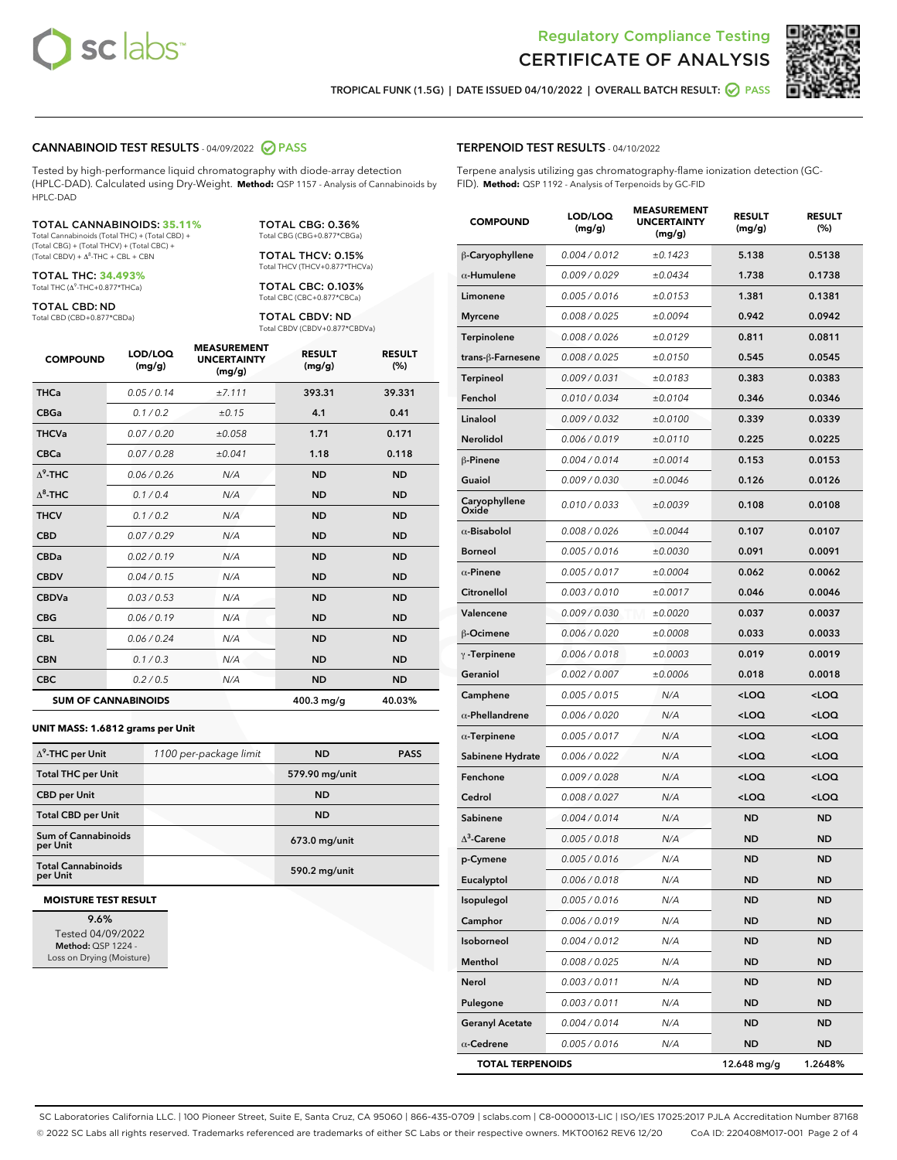



TROPICAL FUNK (1.5G) | DATE ISSUED 04/10/2022 | OVERALL BATCH RESULT: **● PASS** 

### CANNABINOID TEST RESULTS - 04/09/2022 2 PASS

Tested by high-performance liquid chromatography with diode-array detection (HPLC-DAD). Calculated using Dry-Weight. **Method:** QSP 1157 - Analysis of Cannabinoids by HPLC-DAD

### TOTAL CANNABINOIDS: **35.11%**

Total Cannabinoids (Total THC) + (Total CBD) + (Total CBG) + (Total THCV) + (Total CBC) +  $(Total$  CBDV) +  $\Delta$ <sup>8</sup>-THC + CBL + CBN

TOTAL THC: **34.493%** Total THC (Δ<sup>9</sup> -THC+0.877\*THCa)

TOTAL CBD: ND

Total CBD (CBD+0.877\*CBDa)

TOTAL CBG: 0.36% Total CBG (CBG+0.877\*CBGa)

TOTAL THCV: 0.15% Total THCV (THCV+0.877\*THCVa)

TOTAL CBC: 0.103% Total CBC (CBC+0.877\*CBCa)

TOTAL CBDV: ND Total CBDV (CBDV+0.877\*CBDVa)

| <b>COMPOUND</b>  | LOD/LOQ<br>(mg/g)          | <b>MEASUREMENT</b><br><b>UNCERTAINTY</b><br>(mg/g) | <b>RESULT</b><br>(mg/g) | <b>RESULT</b><br>(%) |
|------------------|----------------------------|----------------------------------------------------|-------------------------|----------------------|
| <b>THCa</b>      | 0.05/0.14                  | ±7.111                                             | 393.31                  | 39.331               |
| <b>CBGa</b>      | 0.1 / 0.2                  | ±0.15                                              | 4.1                     | 0.41                 |
| <b>THCVa</b>     | 0.07/0.20                  | ±0.058                                             | 1.71                    | 0.171                |
| <b>CBCa</b>      | 0.07 / 0.28                | ±0.041                                             | 1.18                    | 0.118                |
| $\Lambda^9$ -THC | 0.06 / 0.26                | N/A                                                | <b>ND</b>               | <b>ND</b>            |
| $\Delta^8$ -THC  | 0.1 / 0.4                  | N/A                                                | <b>ND</b>               | <b>ND</b>            |
| <b>THCV</b>      | 0.1/0.2                    | N/A                                                | <b>ND</b>               | <b>ND</b>            |
| <b>CBD</b>       | 0.07/0.29                  | N/A                                                | <b>ND</b>               | <b>ND</b>            |
| <b>CBDa</b>      | 0.02/0.19                  | N/A                                                | <b>ND</b>               | <b>ND</b>            |
| <b>CBDV</b>      | 0.04 / 0.15                | N/A                                                | <b>ND</b>               | <b>ND</b>            |
| <b>CBDVa</b>     | 0.03/0.53                  | N/A                                                | <b>ND</b>               | <b>ND</b>            |
| <b>CBG</b>       | 0.06/0.19                  | N/A                                                | <b>ND</b>               | <b>ND</b>            |
| <b>CBL</b>       | 0.06/0.24                  | N/A                                                | <b>ND</b>               | <b>ND</b>            |
| <b>CBN</b>       | 0.1/0.3                    | N/A                                                | <b>ND</b>               | <b>ND</b>            |
| <b>CBC</b>       | 0.2 / 0.5                  | N/A                                                | <b>ND</b>               | <b>ND</b>            |
|                  | <b>SUM OF CANNABINOIDS</b> |                                                    | $400.3$ mg/g            | 40.03%               |

### **UNIT MASS: 1.6812 grams per Unit**

| $\Delta^9$ -THC per Unit              | 1100 per-package limit | <b>ND</b>      | <b>PASS</b> |
|---------------------------------------|------------------------|----------------|-------------|
| <b>Total THC per Unit</b>             |                        | 579.90 mg/unit |             |
| <b>CBD per Unit</b>                   |                        | <b>ND</b>      |             |
| <b>Total CBD per Unit</b>             |                        | <b>ND</b>      |             |
| Sum of Cannabinoids<br>per Unit       |                        | 673.0 mg/unit  |             |
| <b>Total Cannabinoids</b><br>per Unit |                        | 590.2 mg/unit  |             |

### **MOISTURE TEST RESULT**

9.6% Tested 04/09/2022 Method: QSP 1224 - Loss on Drying (Moisture)

# TERPENOID TEST RESULTS - 04/10/2022

Terpene analysis utilizing gas chromatography-flame ionization detection (GC-FID). **Method:** QSP 1192 - Analysis of Terpenoids by GC-FID

| <b>COMPOUND</b>         | LOD/LOQ<br>(mg/g) | <b>MEASUREMENT</b><br><b>UNCERTAINTY</b><br>(mg/g) | <b>RESULT</b><br>(mg/g)                         | <b>RESULT</b><br>(%) |
|-------------------------|-------------------|----------------------------------------------------|-------------------------------------------------|----------------------|
| β-Caryophyllene         | 0.004 / 0.012     | ±0.1423                                            | 5.138                                           | 0.5138               |
| $\alpha$ -Humulene      | 0.009/0.029       | ±0.0434                                            | 1.738                                           | 0.1738               |
| Limonene                | 0.005 / 0.016     | ±0.0153                                            | 1.381                                           | 0.1381               |
| <b>Myrcene</b>          | 0.008 / 0.025     | ±0.0094                                            | 0.942                                           | 0.0942               |
| Terpinolene             | 0.008 / 0.026     | ±0.0129                                            | 0.811                                           | 0.0811               |
| trans-ß-Farnesene       | 0.008 / 0.025     | ±0.0150                                            | 0.545                                           | 0.0545               |
| Terpineol               | 0.009 / 0.031     | ±0.0183                                            | 0.383                                           | 0.0383               |
| Fenchol                 | 0.010 / 0.034     | ±0.0104                                            | 0.346                                           | 0.0346               |
| Linalool                | 0.009 / 0.032     | ±0.0100                                            | 0.339                                           | 0.0339               |
| <b>Nerolidol</b>        | 0.006 / 0.019     | ±0.0110                                            | 0.225                                           | 0.0225               |
| β-Pinene                | 0.004 / 0.014     | ±0.0014                                            | 0.153                                           | 0.0153               |
| Guaiol                  | 0.009 / 0.030     | ±0.0046                                            | 0.126                                           | 0.0126               |
| Caryophyllene<br>Oxide  | 0.010 / 0.033     | ±0.0039                                            | 0.108                                           | 0.0108               |
| $\alpha$ -Bisabolol     | 0.008 / 0.026     | ±0.0044                                            | 0.107                                           | 0.0107               |
| <b>Borneol</b>          | 0.005 / 0.016     | ±0.0030                                            | 0.091                                           | 0.0091               |
| $\alpha$ -Pinene        | 0.005 / 0.017     | ±0.0004                                            | 0.062                                           | 0.0062               |
| Citronellol             | 0.003 / 0.010     | ±0.0017                                            | 0.046                                           | 0.0046               |
| Valencene               | 0.009 / 0.030     | ±0.0020                                            | 0.037                                           | 0.0037               |
| β-Ocimene               | 0.006 / 0.020     | ±0.0008                                            | 0.033                                           | 0.0033               |
| $\gamma$ -Terpinene     | 0.006 / 0.018     | ±0.0003                                            | 0.019                                           | 0.0019               |
| Geraniol                | 0.002 / 0.007     | ±0.0006                                            | 0.018                                           | 0.0018               |
| Camphene                | 0.005 / 0.015     | N/A                                                | <loq< th=""><th><loq< th=""></loq<></th></loq<> | <loq< th=""></loq<>  |
| $\alpha$ -Phellandrene  | 0.006 / 0.020     | N/A                                                | <loq< th=""><th><loq< th=""></loq<></th></loq<> | <loq< th=""></loq<>  |
| $\alpha$ -Terpinene     | 0.005 / 0.017     | N/A                                                | <loq< th=""><th><loq< th=""></loq<></th></loq<> | <loq< th=""></loq<>  |
| Sabinene Hydrate        | 0.006 / 0.022     | N/A                                                | <loq< th=""><th><loq< th=""></loq<></th></loq<> | <loq< th=""></loq<>  |
| Fenchone                | 0.009 / 0.028     | N/A                                                | <loq< th=""><th><loq< th=""></loq<></th></loq<> | <loq< th=""></loq<>  |
| Cedrol                  | 0.008 / 0.027     | N/A                                                | <loq< th=""><th><loq< th=""></loq<></th></loq<> | <loq< th=""></loq<>  |
| Sabinene                | 0.004 / 0.014     | N/A                                                | <b>ND</b>                                       | <b>ND</b>            |
| $\Delta^3$ -Carene      | 0.005 / 0.018     | N/A                                                | ND                                              | ND                   |
| p-Cymene                | 0.005 / 0.016     | N/A                                                | ND                                              | ND                   |
| Eucalyptol              | 0.006 / 0.018     | N/A                                                | ND                                              | ND                   |
| Isopulegol              | 0.005 / 0.016     | N/A                                                | ND                                              | ND                   |
| Camphor                 | 0.006 / 0.019     | N/A                                                | <b>ND</b>                                       | <b>ND</b>            |
| Isoborneol              | 0.004 / 0.012     | N/A                                                | ND                                              | ND                   |
| Menthol                 | 0.008 / 0.025     | N/A                                                | ND                                              | ND                   |
| Nerol                   | 0.003 / 0.011     | N/A                                                | ND                                              | <b>ND</b>            |
| Pulegone                | 0.003 / 0.011     | N/A                                                | ND                                              | ND                   |
| <b>Geranyl Acetate</b>  | 0.004 / 0.014     | N/A                                                | ND                                              | ND                   |
| $\alpha$ -Cedrene       | 0.005 / 0.016     | N/A                                                | <b>ND</b>                                       | ND                   |
| <b>TOTAL TERPENOIDS</b> |                   |                                                    | 12.648 mg/g                                     | 1.2648%              |

SC Laboratories California LLC. | 100 Pioneer Street, Suite E, Santa Cruz, CA 95060 | 866-435-0709 | sclabs.com | C8-0000013-LIC | ISO/IES 17025:2017 PJLA Accreditation Number 87168 © 2022 SC Labs all rights reserved. Trademarks referenced are trademarks of either SC Labs or their respective owners. MKT00162 REV6 12/20 CoA ID: 220408M017-001 Page 2 of 4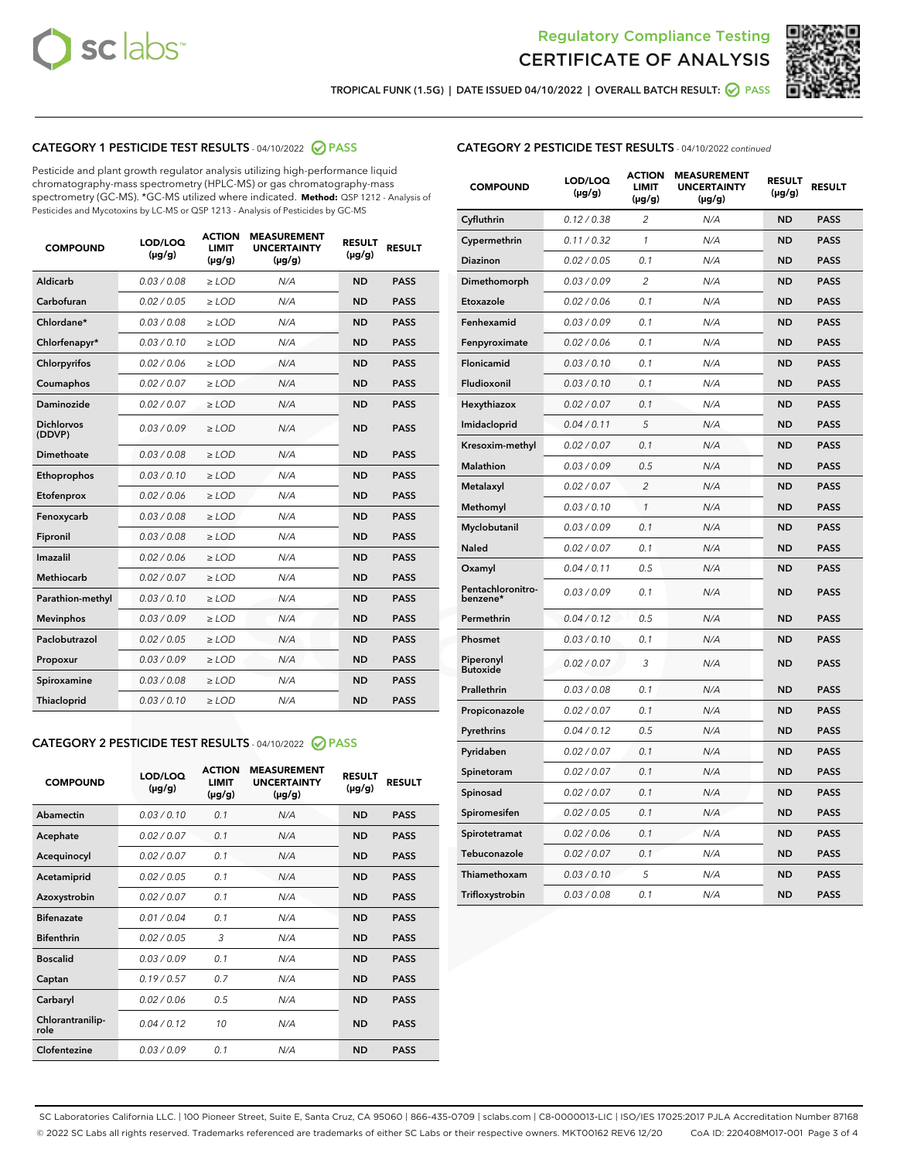



TROPICAL FUNK (1.5G) | DATE ISSUED 04/10/2022 | OVERALL BATCH RESULT: ☑ PASS

# CATEGORY 1 PESTICIDE TEST RESULTS - 04/10/2022 2 PASS

Pesticide and plant growth regulator analysis utilizing high-performance liquid chromatography-mass spectrometry (HPLC-MS) or gas chromatography-mass spectrometry (GC-MS). \*GC-MS utilized where indicated. **Method:** QSP 1212 - Analysis of Pesticides and Mycotoxins by LC-MS or QSP 1213 - Analysis of Pesticides by GC-MS

| <b>COMPOUND</b>             | LOD/LOQ<br>$(\mu g/g)$ | <b>ACTION</b><br><b>LIMIT</b><br>$(\mu g/g)$ | <b>MEASUREMENT</b><br><b>UNCERTAINTY</b><br>$(\mu g/g)$ | <b>RESULT</b><br>$(\mu g/g)$ | <b>RESULT</b> |
|-----------------------------|------------------------|----------------------------------------------|---------------------------------------------------------|------------------------------|---------------|
| Aldicarb                    | 0.03 / 0.08            | $>$ LOD                                      | N/A                                                     | <b>ND</b>                    | <b>PASS</b>   |
| Carbofuran                  | 0.02 / 0.05            | $\ge$ LOD                                    | N/A                                                     | <b>ND</b>                    | <b>PASS</b>   |
| Chlordane*                  | 0.03 / 0.08            | $\ge$ LOD                                    | N/A                                                     | <b>ND</b>                    | <b>PASS</b>   |
| Chlorfenapyr*               | 0.03/0.10              | $\geq$ LOD                                   | N/A                                                     | <b>ND</b>                    | <b>PASS</b>   |
| Chlorpyrifos                | 0.02 / 0.06            | $>$ LOD                                      | N/A                                                     | <b>ND</b>                    | <b>PASS</b>   |
| Coumaphos                   | 0.02 / 0.07            | $\ge$ LOD                                    | N/A                                                     | <b>ND</b>                    | <b>PASS</b>   |
| Daminozide                  | 0.02 / 0.07            | $\ge$ LOD                                    | N/A                                                     | <b>ND</b>                    | <b>PASS</b>   |
| <b>Dichlorvos</b><br>(DDVP) | 0.03/0.09              | $>$ LOD                                      | N/A                                                     | <b>ND</b>                    | <b>PASS</b>   |
| Dimethoate                  | 0.03 / 0.08            | $>$ LOD                                      | N/A                                                     | <b>ND</b>                    | <b>PASS</b>   |
| Ethoprophos                 | 0.03/0.10              | $\ge$ LOD                                    | N/A                                                     | <b>ND</b>                    | <b>PASS</b>   |
| Etofenprox                  | 0.02 / 0.06            | $\ge$ LOD                                    | N/A                                                     | <b>ND</b>                    | <b>PASS</b>   |
| Fenoxycarb                  | 0.03/0.08              | $>$ LOD                                      | N/A                                                     | <b>ND</b>                    | <b>PASS</b>   |
| Fipronil                    | 0.03 / 0.08            | $\ge$ LOD                                    | N/A                                                     | <b>ND</b>                    | <b>PASS</b>   |
| Imazalil                    | 0.02 / 0.06            | $\ge$ LOD                                    | N/A                                                     | <b>ND</b>                    | <b>PASS</b>   |
| <b>Methiocarb</b>           | 0.02 / 0.07            | $\ge$ LOD                                    | N/A                                                     | <b>ND</b>                    | <b>PASS</b>   |
| Parathion-methyl            | 0.03/0.10              | $\ge$ LOD                                    | N/A                                                     | <b>ND</b>                    | <b>PASS</b>   |
| <b>Mevinphos</b>            | 0.03/0.09              | $\ge$ LOD                                    | N/A                                                     | <b>ND</b>                    | <b>PASS</b>   |
| Paclobutrazol               | 0.02 / 0.05            | $\ge$ LOD                                    | N/A                                                     | <b>ND</b>                    | <b>PASS</b>   |
| Propoxur                    | 0.03/0.09              | $\ge$ LOD                                    | N/A                                                     | <b>ND</b>                    | <b>PASS</b>   |
| Spiroxamine                 | 0.03 / 0.08            | $\ge$ LOD                                    | N/A                                                     | <b>ND</b>                    | <b>PASS</b>   |
| Thiacloprid                 | 0.03 / 0.10            | $\ge$ LOD                                    | N/A                                                     | <b>ND</b>                    | <b>PASS</b>   |

# CATEGORY 2 PESTICIDE TEST RESULTS - 04/10/2022 @ PASS

| <b>COMPOUND</b>          | LOD/LOO<br>$(\mu g/g)$ | <b>ACTION</b><br><b>LIMIT</b><br>$(\mu g/g)$ | <b>MEASUREMENT</b><br><b>UNCERTAINTY</b><br>$(\mu g/g)$ | <b>RESULT</b><br>$(\mu g/g)$ | <b>RESULT</b> |  |
|--------------------------|------------------------|----------------------------------------------|---------------------------------------------------------|------------------------------|---------------|--|
| Abamectin                | 0.03/0.10              | 0.1                                          | N/A                                                     | <b>ND</b>                    | <b>PASS</b>   |  |
| Acephate                 | 0.02/0.07              | 0.1                                          | N/A                                                     | <b>ND</b>                    | <b>PASS</b>   |  |
| Acequinocyl              | 0.02/0.07              | 0.1                                          | N/A                                                     | <b>ND</b>                    | <b>PASS</b>   |  |
| Acetamiprid              | 0.02/0.05              | 0.1                                          | N/A                                                     | <b>ND</b>                    | <b>PASS</b>   |  |
| Azoxystrobin             | 0.02/0.07              | 0.1                                          | N/A                                                     | <b>ND</b>                    | <b>PASS</b>   |  |
| <b>Bifenazate</b>        | 0.01/0.04              | 0.1                                          | N/A                                                     | <b>ND</b>                    | <b>PASS</b>   |  |
| <b>Bifenthrin</b>        | 0.02/0.05              | 3                                            | N/A                                                     | <b>ND</b>                    | <b>PASS</b>   |  |
| <b>Boscalid</b>          | 0.03/0.09              | 0.1                                          | N/A                                                     | <b>ND</b>                    | <b>PASS</b>   |  |
| Captan                   | 0.19/0.57              | 0.7                                          | N/A                                                     | <b>ND</b>                    | <b>PASS</b>   |  |
| Carbaryl                 | 0.02/0.06              | 0.5                                          | N/A                                                     | <b>ND</b>                    | <b>PASS</b>   |  |
| Chlorantranilip-<br>role | 0.04/0.12              | 10                                           | N/A                                                     | <b>ND</b>                    | <b>PASS</b>   |  |
| Clofentezine             | 0.03/0.09              | 0 <sub>1</sub>                               | N/A                                                     | <b>ND</b>                    | <b>PASS</b>   |  |

# CATEGORY 2 PESTICIDE TEST RESULTS - 04/10/2022 continued

| <b>COMPOUND</b>               | LOD/LOQ<br>(µg/g) | <b>ACTION</b><br>LIMIT<br>$(\mu g/g)$ | <b>MEASUREMENT</b><br><b>UNCERTAINTY</b><br>$(\mu g/g)$ | <b>RESULT</b><br>(µg/g) | <b>RESULT</b> |
|-------------------------------|-------------------|---------------------------------------|---------------------------------------------------------|-------------------------|---------------|
| Cyfluthrin                    | 0.12 / 0.38       | $\overline{c}$                        | N/A                                                     | <b>ND</b>               | <b>PASS</b>   |
| Cypermethrin                  | 0.11 / 0.32       | 1                                     | N/A                                                     | <b>ND</b>               | <b>PASS</b>   |
| <b>Diazinon</b>               | 0.02 / 0.05       | 0.1                                   | N/A                                                     | <b>ND</b>               | <b>PASS</b>   |
| Dimethomorph                  | 0.03 / 0.09       | $\overline{2}$                        | N/A                                                     | <b>ND</b>               | <b>PASS</b>   |
| Etoxazole                     | 0.02 / 0.06       | 0.1                                   | N/A                                                     | <b>ND</b>               | <b>PASS</b>   |
| Fenhexamid                    | 0.03 / 0.09       | 0.1                                   | N/A                                                     | ND                      | <b>PASS</b>   |
| Fenpyroximate                 | 0.02 / 0.06       | 0.1                                   | N/A                                                     | <b>ND</b>               | <b>PASS</b>   |
| Flonicamid                    | 0.03 / 0.10       | 0.1                                   | N/A                                                     | <b>ND</b>               | <b>PASS</b>   |
| Fludioxonil                   | 0.03 / 0.10       | 0.1                                   | N/A                                                     | <b>ND</b>               | <b>PASS</b>   |
| Hexythiazox                   | 0.02 / 0.07       | 0.1                                   | N/A                                                     | ND                      | <b>PASS</b>   |
| Imidacloprid                  | 0.04 / 0.11       | 5                                     | N/A                                                     | <b>ND</b>               | <b>PASS</b>   |
| Kresoxim-methyl               | 0.02 / 0.07       | 0.1                                   | N/A                                                     | ND                      | <b>PASS</b>   |
| <b>Malathion</b>              | 0.03 / 0.09       | 0.5                                   | N/A                                                     | <b>ND</b>               | <b>PASS</b>   |
| Metalaxyl                     | 0.02 / 0.07       | $\overline{c}$                        | N/A                                                     | <b>ND</b>               | <b>PASS</b>   |
| Methomyl                      | 0.03 / 0.10       | $\mathcal{I}$                         | N/A                                                     | <b>ND</b>               | <b>PASS</b>   |
| Myclobutanil                  | 0.03/0.09         | 0.1                                   | N/A                                                     | <b>ND</b>               | <b>PASS</b>   |
| <b>Naled</b>                  | 0.02 / 0.07       | 0.1                                   | N/A                                                     | ND                      | <b>PASS</b>   |
| Oxamyl                        | 0.04 / 0.11       | 0.5                                   | N/A                                                     | ND                      | <b>PASS</b>   |
| Pentachloronitro-<br>benzene* | 0.03 / 0.09       | 0.1                                   | N/A                                                     | <b>ND</b>               | <b>PASS</b>   |
| Permethrin                    | 0.04 / 0.12       | 0.5                                   | N/A                                                     | ND                      | <b>PASS</b>   |
| Phosmet                       | 0.03/0.10         | 0.1                                   | N/A                                                     | ND                      | <b>PASS</b>   |
| Piperonyl<br><b>Butoxide</b>  | 0.02 / 0.07       | 3                                     | N/A                                                     | ND                      | <b>PASS</b>   |
| Prallethrin                   | 0.03 / 0.08       | 0.1                                   | N/A                                                     | <b>ND</b>               | <b>PASS</b>   |
| Propiconazole                 | 0.02 / 0.07       | 0.1                                   | N/A                                                     | ND                      | <b>PASS</b>   |
| Pyrethrins                    | 0.04 / 0.12       | 0.5                                   | N/A                                                     | <b>ND</b>               | <b>PASS</b>   |
| Pyridaben                     | 0.02 / 0.07       | 0.1                                   | N/A                                                     | ND                      | <b>PASS</b>   |
| Spinetoram                    | 0.02 / 0.07       | 0.1                                   | N/A                                                     | ND                      | <b>PASS</b>   |
| Spinosad                      | 0.02 / 0.07       | 0.1                                   | N/A                                                     | ND                      | <b>PASS</b>   |
| Spiromesifen                  | 0.02 / 0.05       | 0.1                                   | N/A                                                     | <b>ND</b>               | <b>PASS</b>   |
| Spirotetramat                 | 0.02 / 0.06       | 0.1                                   | N/A                                                     | <b>ND</b>               | <b>PASS</b>   |
| Tebuconazole                  | 0.02 / 0.07       | 0.1                                   | N/A                                                     | ND                      | <b>PASS</b>   |
| Thiamethoxam                  | 0.03 / 0.10       | 5                                     | N/A                                                     | ND                      | <b>PASS</b>   |
| Trifloxystrobin               | 0.03 / 0.08       | 0.1                                   | N/A                                                     | <b>ND</b>               | <b>PASS</b>   |

SC Laboratories California LLC. | 100 Pioneer Street, Suite E, Santa Cruz, CA 95060 | 866-435-0709 | sclabs.com | C8-0000013-LIC | ISO/IES 17025:2017 PJLA Accreditation Number 87168 © 2022 SC Labs all rights reserved. Trademarks referenced are trademarks of either SC Labs or their respective owners. MKT00162 REV6 12/20 CoA ID: 220408M017-001 Page 3 of 4